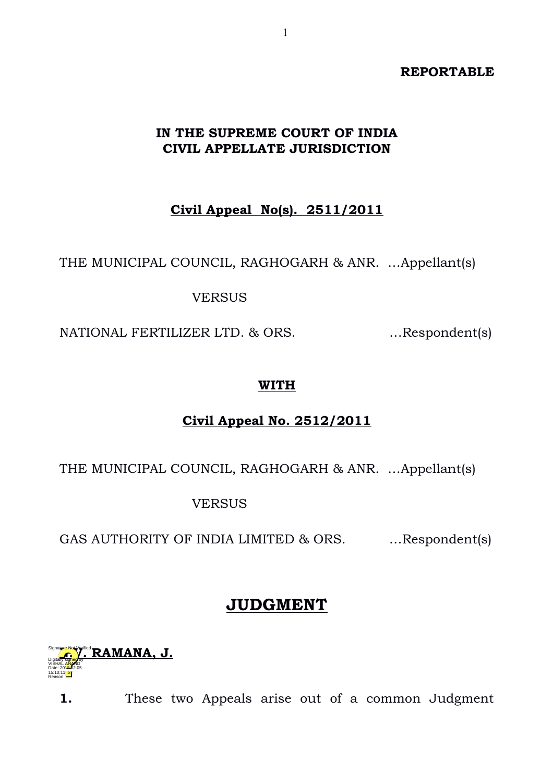#### **REPORTABLE**

### **IN THE SUPREME COURT OF INDIA CIVIL APPELLATE JURISDICTION**

**Civil Appeal No(s). 2511/2011**

THE MUNICIPAL COUNCIL, RAGHOGARH & ANR. …Appellant(s)

VERSUS

NATIONAL FERTILIZER LTD. & ORS. …Respondent(s)

### **WITH**

## **Civil Appeal No. 2512/2011**

THE MUNICIPAL COUNCIL, RAGHOGARH & ANR. …Appellant(s)

VERSUS

GAS AUTHORITY OF INDIA LIMITED & ORS. ... Respondent(s)

# **JUDGMENT**



**1.** These two Appeals arise out of a common Judgment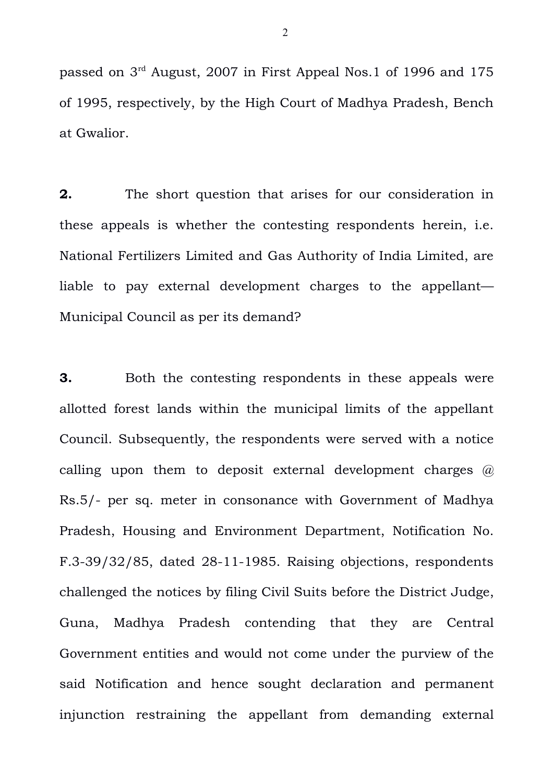passed on 3rd August, 2007 in First Appeal Nos.1 of 1996 and 175 of 1995, respectively, by the High Court of Madhya Pradesh, Bench at Gwalior.

**2.** The short question that arises for our consideration in these appeals is whether the contesting respondents herein, i.e. National Fertilizers Limited and Gas Authority of India Limited, are liable to pay external development charges to the appellant— Municipal Council as per its demand?

**3.** Both the contesting respondents in these appeals were allotted forest lands within the municipal limits of the appellant Council. Subsequently, the respondents were served with a notice calling upon them to deposit external development charges  $\omega$ Rs.5/- per sq. meter in consonance with Government of Madhya Pradesh, Housing and Environment Department, Notification No. F.3-39/32/85, dated 28-11-1985. Raising objections, respondents challenged the notices by filing Civil Suits before the District Judge, Guna, Madhya Pradesh contending that they are Central Government entities and would not come under the purview of the said Notification and hence sought declaration and permanent injunction restraining the appellant from demanding external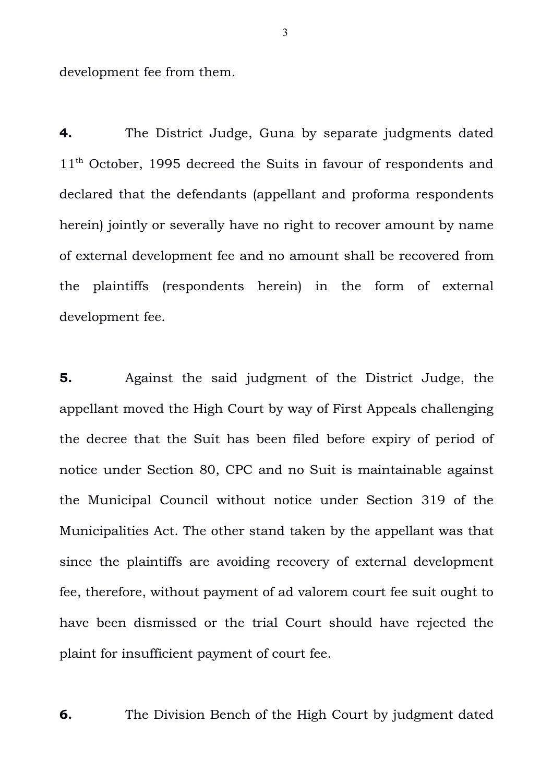development fee from them.

**4.** The District Judge, Guna by separate judgments dated 11<sup>th</sup> October, 1995 decreed the Suits in favour of respondents and declared that the defendants (appellant and proforma respondents herein) jointly or severally have no right to recover amount by name of external development fee and no amount shall be recovered from the plaintiffs (respondents herein) in the form of external development fee.

**5.** Against the said judgment of the District Judge, the appellant moved the High Court by way of First Appeals challenging the decree that the Suit has been filed before expiry of period of notice under Section 80, CPC and no Suit is maintainable against the Municipal Council without notice under Section 319 of the Municipalities Act. The other stand taken by the appellant was that since the plaintiffs are avoiding recovery of external development fee, therefore, without payment of ad valorem court fee suit ought to have been dismissed or the trial Court should have rejected the plaint for insufficient payment of court fee.

**6.** The Division Bench of the High Court by judgment dated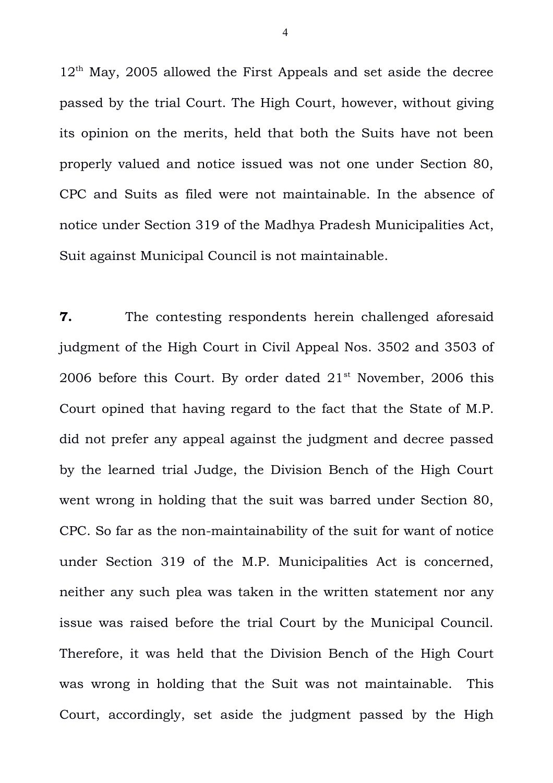$12<sup>th</sup>$  May, 2005 allowed the First Appeals and set aside the decree passed by the trial Court. The High Court, however, without giving its opinion on the merits, held that both the Suits have not been properly valued and notice issued was not one under Section 80, CPC and Suits as filed were not maintainable. In the absence of notice under Section 319 of the Madhya Pradesh Municipalities Act, Suit against Municipal Council is not maintainable.

**7.** The contesting respondents herein challenged aforesaid judgment of the High Court in Civil Appeal Nos. 3502 and 3503 of 2006 before this Court. By order dated  $21<sup>st</sup>$  November, 2006 this Court opined that having regard to the fact that the State of M.P. did not prefer any appeal against the judgment and decree passed by the learned trial Judge, the Division Bench of the High Court went wrong in holding that the suit was barred under Section 80, CPC. So far as the non-maintainability of the suit for want of notice under Section 319 of the M.P. Municipalities Act is concerned, neither any such plea was taken in the written statement nor any issue was raised before the trial Court by the Municipal Council. Therefore, it was held that the Division Bench of the High Court was wrong in holding that the Suit was not maintainable. This Court, accordingly, set aside the judgment passed by the High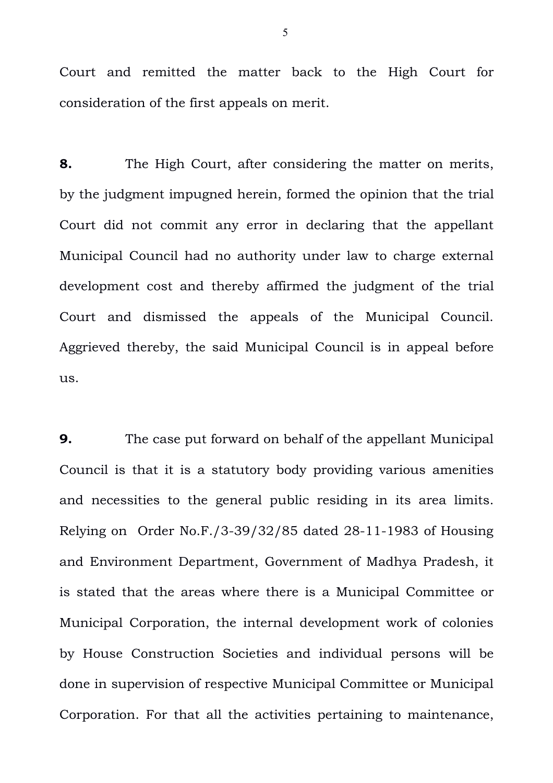Court and remitted the matter back to the High Court for consideration of the first appeals on merit.

**8.** The High Court, after considering the matter on merits, by the judgment impugned herein, formed the opinion that the trial Court did not commit any error in declaring that the appellant Municipal Council had no authority under law to charge external development cost and thereby affirmed the judgment of the trial Court and dismissed the appeals of the Municipal Council. Aggrieved thereby, the said Municipal Council is in appeal before us.

**9.** The case put forward on behalf of the appellant Municipal Council is that it is a statutory body providing various amenities and necessities to the general public residing in its area limits. Relying on Order No.F./3-39/32/85 dated 28-11-1983 of Housing and Environment Department, Government of Madhya Pradesh, it is stated that the areas where there is a Municipal Committee or Municipal Corporation, the internal development work of colonies by House Construction Societies and individual persons will be done in supervision of respective Municipal Committee or Municipal Corporation. For that all the activities pertaining to maintenance,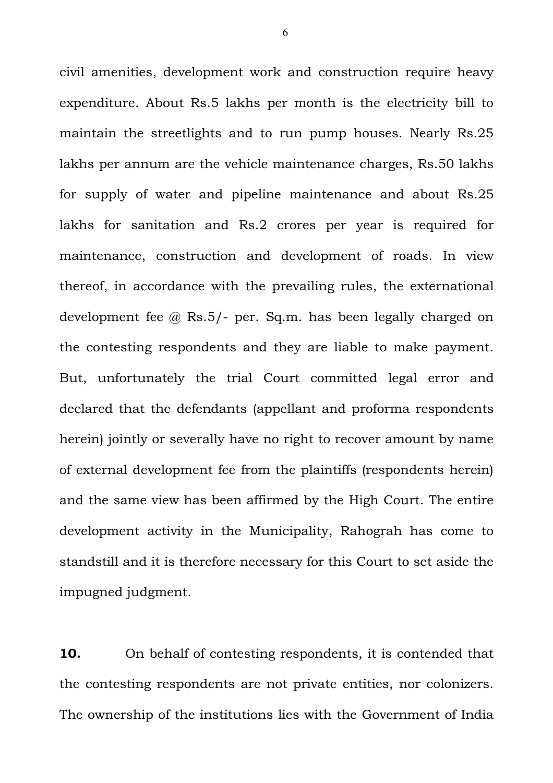civil amenities, development work and construction require heavy expenditure. About Rs.5 lakhs per month is the electricity bill to maintain the streetlights and to run pump houses. Nearly Rs.25 lakhs per annum are the vehicle maintenance charges, Rs.50 lakhs for supply of water and pipeline maintenance and about Rs.25 lakhs for sanitation and Rs.2 crores per year is required for maintenance, construction and development of roads. In view thereof, in accordance with the prevailing rules, the externational development fee @ Rs.5/- per. Sq.m. has been legally charged on the contesting respondents and they are liable to make payment. But, unfortunately the trial Court committed legal error and declared that the defendants (appellant and proforma respondents herein) jointly or severally have no right to recover amount by name of external development fee from the plaintiffs (respondents herein) and the same view has been affirmed by the High Court. The entire development activity in the Municipality, Rahograh has come to standstill and it is therefore necessary for this Court to set aside the impugned judgment.

**10.** On behalf of contesting respondents, it is contended that the contesting respondents are not private entities, nor colonizers. The ownership of the institutions lies with the Government of India

6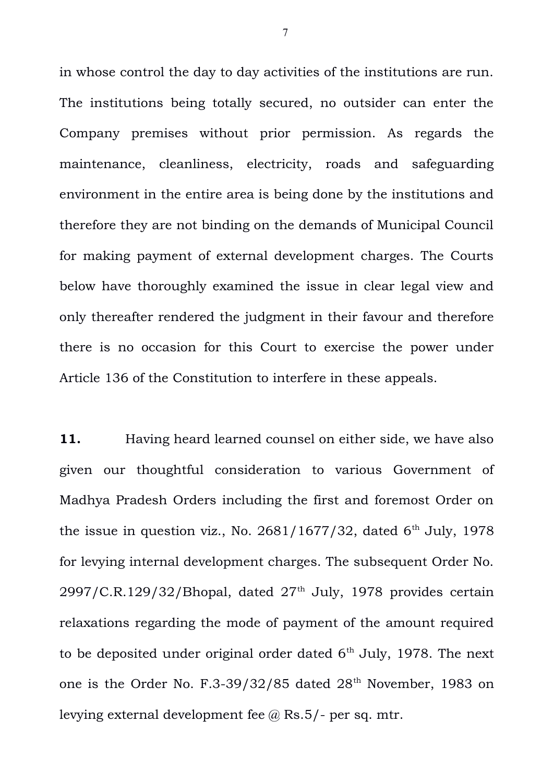in whose control the day to day activities of the institutions are run. The institutions being totally secured, no outsider can enter the Company premises without prior permission. As regards the maintenance, cleanliness, electricity, roads and safeguarding environment in the entire area is being done by the institutions and therefore they are not binding on the demands of Municipal Council for making payment of external development charges. The Courts below have thoroughly examined the issue in clear legal view and only thereafter rendered the judgment in their favour and therefore there is no occasion for this Court to exercise the power under Article 136 of the Constitution to interfere in these appeals.

**11.** Having heard learned counsel on either side, we have also given our thoughtful consideration to various Government of Madhya Pradesh Orders including the first and foremost Order on the issue in question viz., No.  $2681/1677/32$ , dated  $6<sup>th</sup>$  July, 1978 for levying internal development charges. The subsequent Order No.  $2997/C.R.129/32/B$ hopal, dated  $27<sup>th</sup>$  July, 1978 provides certain relaxations regarding the mode of payment of the amount required to be deposited under original order dated  $6<sup>th</sup>$  July, 1978. The next one is the Order No. F.3-39/32/85 dated 28<sup>th</sup> November, 1983 on levying external development fee  $\omega$  Rs.5/- per sq. mtr.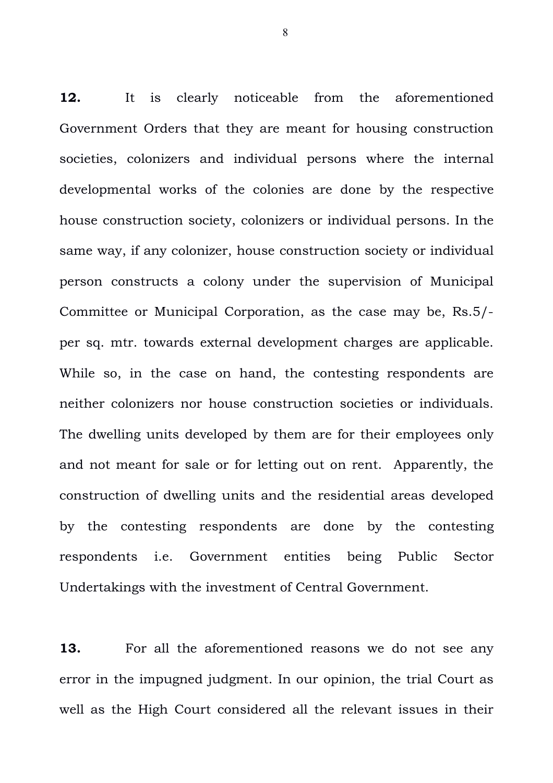**12.** It is clearly noticeable from the aforementioned Government Orders that they are meant for housing construction societies, colonizers and individual persons where the internal developmental works of the colonies are done by the respective house construction society, colonizers or individual persons. In the same way, if any colonizer, house construction society or individual person constructs a colony under the supervision of Municipal Committee or Municipal Corporation, as the case may be, Rs.5/ per sq. mtr. towards external development charges are applicable. While so, in the case on hand, the contesting respondents are neither colonizers nor house construction societies or individuals. The dwelling units developed by them are for their employees only and not meant for sale or for letting out on rent. Apparently, the construction of dwelling units and the residential areas developed by the contesting respondents are done by the contesting respondents i.e. Government entities being Public Sector Undertakings with the investment of Central Government.

**13.** For all the aforementioned reasons we do not see any error in the impugned judgment. In our opinion, the trial Court as well as the High Court considered all the relevant issues in their

8